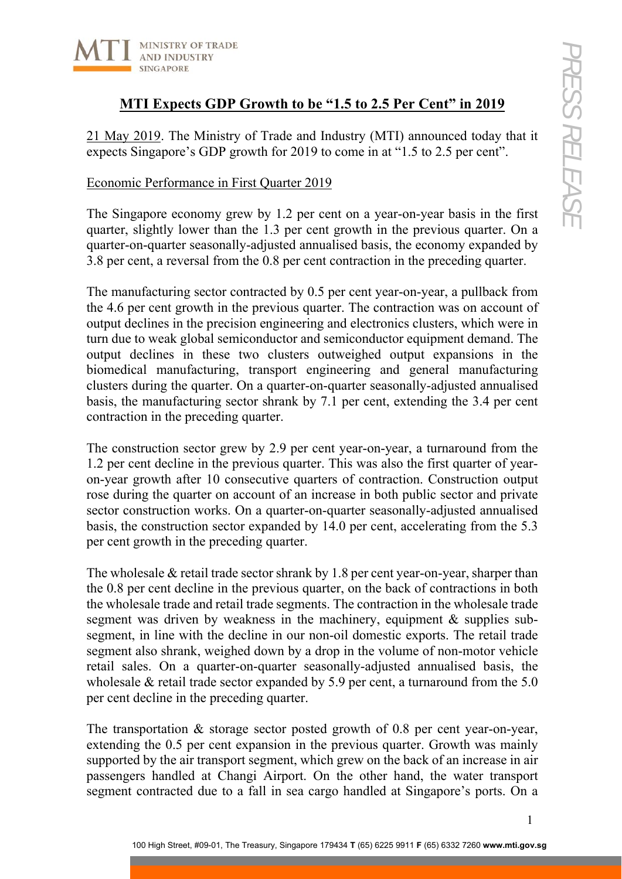

## **MTI Expects GDP Growth to be "1.5 to 2.5 Per Cent" in 2019**

21 May 2019. The Ministry of Trade and Industry (MTI) announced today that it expects Singapore's GDP growth for 2019 to come in at "1.5 to 2.5 per cent".

### Economic Performance in First Quarter 2019

The Singapore economy grew by 1.2 per cent on a year-on-year basis in the first quarter, slightly lower than the 1.3 per cent growth in the previous quarter. On a quarter-on-quarter seasonally-adjusted annualised basis, the economy expanded by 3.8 per cent, a reversal from the 0.8 per cent contraction in the preceding quarter.

The manufacturing sector contracted by 0.5 per cent year-on-year, a pullback from the 4.6 per cent growth in the previous quarter. The contraction was on account of output declines in the precision engineering and electronics clusters, which were in turn due to weak global semiconductor and semiconductor equipment demand. The output declines in these two clusters outweighed output expansions in the biomedical manufacturing, transport engineering and general manufacturing clusters during the quarter. On a quarter-on-quarter seasonally-adjusted annualised basis, the manufacturing sector shrank by 7.1 per cent, extending the 3.4 per cent contraction in the preceding quarter.

The construction sector grew by 2.9 per cent year-on-year, a turnaround from the 1.2 per cent decline in the previous quarter. This was also the first quarter of yearon-year growth after 10 consecutive quarters of contraction. Construction output rose during the quarter on account of an increase in both public sector and private sector construction works. On a quarter-on-quarter seasonally-adjusted annualised basis, the construction sector expanded by 14.0 per cent, accelerating from the 5.3 per cent growth in the preceding quarter.

The wholesale & retail trade sector shrank by 1.8 per cent year-on-year, sharper than the 0.8 per cent decline in the previous quarter, on the back of contractions in both the wholesale trade and retail trade segments. The contraction in the wholesale trade segment was driven by weakness in the machinery, equipment & supplies subsegment, in line with the decline in our non-oil domestic exports. The retail trade segment also shrank, weighed down by a drop in the volume of non-motor vehicle retail sales. On a quarter-on-quarter seasonally-adjusted annualised basis, the wholesale & retail trade sector expanded by 5.9 per cent, a turnaround from the 5.0 per cent decline in the preceding quarter.

The transportation & storage sector posted growth of 0.8 per cent year-on-year, extending the 0.5 per cent expansion in the previous quarter. Growth was mainly supported by the air transport segment, which grew on the back of an increase in air passengers handled at Changi Airport. On the other hand, the water transport segment contracted due to a fall in sea cargo handled at Singapore's ports. On a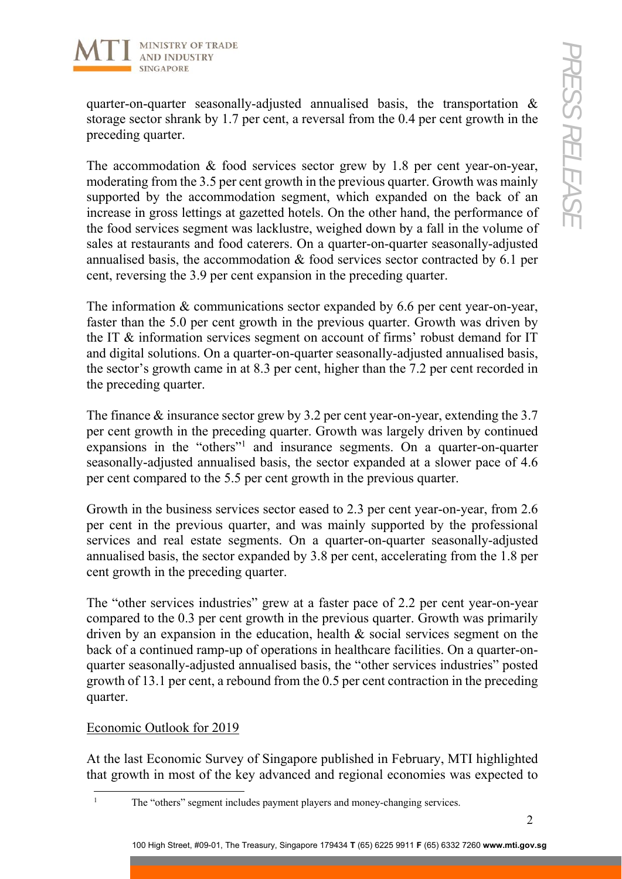

quarter-on-quarter seasonally-adjusted annualised basis, the transportation & storage sector shrank by 1.7 per cent, a reversal from the 0.4 per cent growth in the preceding quarter.

The accommodation & food services sector grew by 1.8 per cent year-on-year, moderating from the 3.5 per cent growth in the previous quarter. Growth was mainly supported by the accommodation segment, which expanded on the back of an increase in gross lettings at gazetted hotels. On the other hand, the performance of the food services segment was lacklustre, weighed down by a fall in the volume of sales at restaurants and food caterers. On a quarter-on-quarter seasonally-adjusted annualised basis, the accommodation & food services sector contracted by 6.1 per cent, reversing the 3.9 per cent expansion in the preceding quarter.

The information & communications sector expanded by 6.6 per cent year-on-year, faster than the 5.0 per cent growth in the previous quarter. Growth was driven by the IT & information services segment on account of firms' robust demand for IT and digital solutions. On a quarter-on-quarter seasonally-adjusted annualised basis, the sector's growth came in at 8.3 per cent, higher than the 7.2 per cent recorded in the preceding quarter.

The finance & insurance sector grew by 3.2 per cent year-on-year, extending the 3.7 per cent growth in the preceding quarter. Growth was largely driven by continued expansions in the "others"<sup>1</sup> and insurance segments. On a quarter-on-quarter seasonally-adjusted annualised basis, the sector expanded at a slower pace of 4.6 per cent compared to the 5.5 per cent growth in the previous quarter.

Growth in the business services sector eased to 2.3 per cent year-on-year, from 2.6 per cent in the previous quarter, and was mainly supported by the professional services and real estate segments. On a quarter-on-quarter seasonally-adjusted annualised basis, the sector expanded by 3.8 per cent, accelerating from the 1.8 per cent growth in the preceding quarter.

The "other services industries" grew at a faster pace of 2.2 per cent year-on-year compared to the 0.3 per cent growth in the previous quarter. Growth was primarily driven by an expansion in the education, health & social services segment on the back of a continued ramp-up of operations in healthcare facilities. On a quarter-onquarter seasonally-adjusted annualised basis, the "other services industries" posted growth of 13.1 per cent, a rebound from the 0.5 per cent contraction in the preceding quarter.

## Economic Outlook for 2019

At the last Economic Survey of Singapore published in February, MTI highlighted that growth in most of the key advanced and regional economies was expected to

 $\frac{1}{1}$ The "others" segment includes payment players and money-changing services.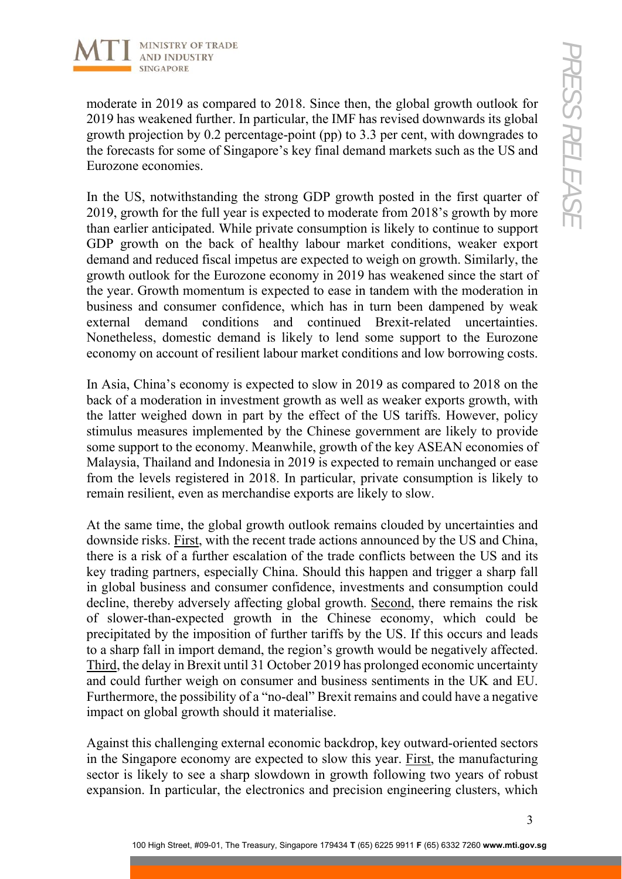

moderate in 2019 as compared to 2018. Since then, the global growth outlook for 2019 has weakened further. In particular, the IMF has revised downwards its global growth projection by 0.2 percentage-point (pp) to 3.3 per cent, with downgrades to the forecasts for some of Singapore's key final demand markets such as the US and Eurozone economies.

In the US, notwithstanding the strong GDP growth posted in the first quarter of 2019, growth for the full year is expected to moderate from 2018's growth by more than earlier anticipated. While private consumption is likely to continue to support GDP growth on the back of healthy labour market conditions, weaker export demand and reduced fiscal impetus are expected to weigh on growth. Similarly, the growth outlook for the Eurozone economy in 2019 has weakened since the start of the year. Growth momentum is expected to ease in tandem with the moderation in business and consumer confidence, which has in turn been dampened by weak external demand conditions and continued Brexit-related uncertainties. Nonetheless, domestic demand is likely to lend some support to the Eurozone economy on account of resilient labour market conditions and low borrowing costs.

In Asia, China's economy is expected to slow in 2019 as compared to 2018 on the back of a moderation in investment growth as well as weaker exports growth, with the latter weighed down in part by the effect of the US tariffs. However, policy stimulus measures implemented by the Chinese government are likely to provide some support to the economy. Meanwhile, growth of the key ASEAN economies of Malaysia, Thailand and Indonesia in 2019 is expected to remain unchanged or ease from the levels registered in 2018. In particular, private consumption is likely to remain resilient, even as merchandise exports are likely to slow.

At the same time, the global growth outlook remains clouded by uncertainties and downside risks. First, with the recent trade actions announced by the US and China, there is a risk of a further escalation of the trade conflicts between the US and its key trading partners, especially China. Should this happen and trigger a sharp fall in global business and consumer confidence, investments and consumption could decline, thereby adversely affecting global growth. Second, there remains the risk of slower-than-expected growth in the Chinese economy, which could be precipitated by the imposition of further tariffs by the US. If this occurs and leads to a sharp fall in import demand, the region's growth would be negatively affected. Third, the delay in Brexit until 31 October 2019 has prolonged economic uncertainty and could further weigh on consumer and business sentiments in the UK and EU. Furthermore, the possibility of a "no-deal" Brexit remains and could have a negative impact on global growth should it materialise.

Against this challenging external economic backdrop, key outward-oriented sectors in the Singapore economy are expected to slow this year. First, the manufacturing sector is likely to see a sharp slowdown in growth following two years of robust expansion. In particular, the electronics and precision engineering clusters, which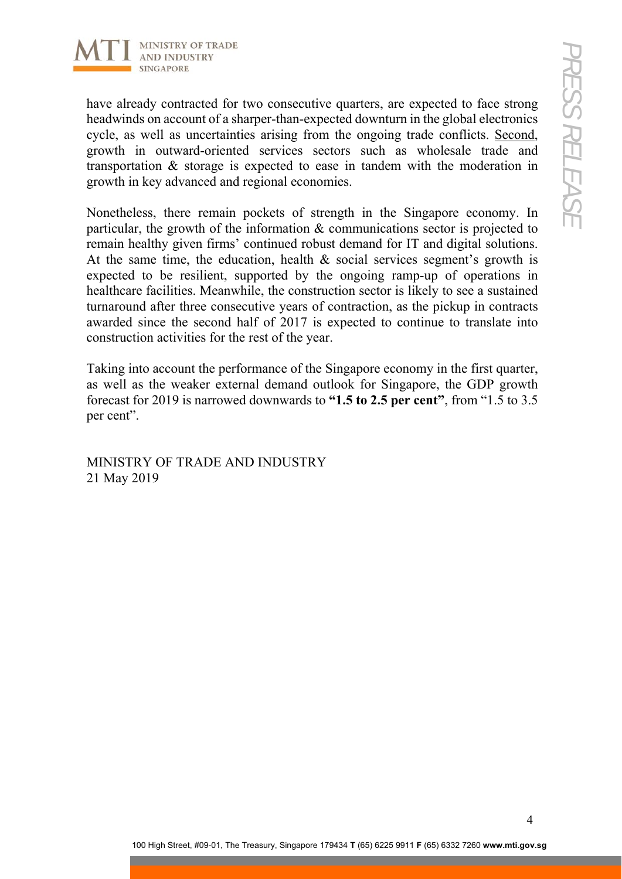

have already contracted for two consecutive quarters, are expected to face strong headwinds on account of a sharper-than-expected downturn in the global electronics cycle, as well as uncertainties arising from the ongoing trade conflicts. Second, growth in outward-oriented services sectors such as wholesale trade and transportation & storage is expected to ease in tandem with the moderation in growth in key advanced and regional economies.

Nonetheless, there remain pockets of strength in the Singapore economy. In particular, the growth of the information & communications sector is projected to remain healthy given firms' continued robust demand for IT and digital solutions. At the same time, the education, health & social services segment's growth is expected to be resilient, supported by the ongoing ramp-up of operations in healthcare facilities. Meanwhile, the construction sector is likely to see a sustained turnaround after three consecutive years of contraction, as the pickup in contracts awarded since the second half of 2017 is expected to continue to translate into construction activities for the rest of the year.

Taking into account the performance of the Singapore economy in the first quarter, as well as the weaker external demand outlook for Singapore, the GDP growth forecast for 2019 is narrowed downwards to **"1.5 to 2.5 per cent"**, from "1.5 to 3.5 per cent".

MINISTRY OF TRADE AND INDUSTRY 21 May 2019